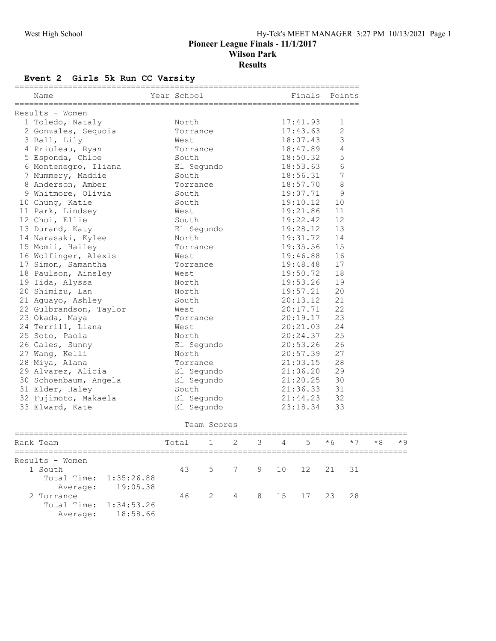## Event 2 Girls 5k Run CC Varsity

| Name                   | Year School<br>----------------------- | Finals   | Points         |
|------------------------|----------------------------------------|----------|----------------|
| Results - Women        |                                        |          |                |
| 1 Toledo, Nataly       | North                                  | 17:41.93 | 1              |
| 2 Gonzales, Sequoia    | Torrance                               | 17:43.63 | $\overline{c}$ |
| 3 Ball, Lily           | West                                   | 18:07.43 | 3              |
| 4 Prioleau, Ryan       | Torrance                               | 18:47.89 | 4              |
| 5 Esponda, Chloe       | South                                  | 18:50.32 | 5              |
| 6 Montenegro, Iliana   | El Segundo                             | 18:53.63 | 6              |
| 7 Mummery, Maddie      | South                                  | 18:56.31 | $\overline{7}$ |
| 8 Anderson, Amber      | Torrance                               | 18:57.70 | $\,8\,$        |
| 9 Whitmore, Olivia     | South                                  | 19:07.71 | 9              |
| 10 Chung, Katie        | South                                  | 19:10.12 | 10             |
| 11 Park, Lindsey       | West                                   | 19:21.86 | 11             |
| 12 Choi, Ellie         | South                                  | 19:22.42 | 12             |
| 13 Durand, Katy        | El Segundo                             | 19:28.12 | 13             |
| 14 Narasaki, Kylee     | North                                  | 19:31.72 | 14             |
| 15 Momii, Hailey       | Torrance                               | 19:35.56 | 15             |
| 16 Wolfinger, Alexis   | West                                   | 19:46.88 | 16             |
| 17 Simon, Samantha     | Torrance                               | 19:48.48 | 17             |
| 18 Paulson, Ainsley    | West                                   | 19:50.72 | 18             |
| 19 Iida, Alyssa        | North                                  | 19:53.26 | 19             |
| 20 Shimizu, Lan        | North                                  | 19:57.21 | 20             |
| 21 Aguayo, Ashley      | South                                  | 20:13.12 | 21             |
| 22 Gulbrandson, Taylor | West                                   | 20:17.71 | 22             |
| 23 Okada, Maya         | Torrance                               | 20:19.17 | 23             |
| 24 Terrill, Liana      | West                                   | 20:21.03 | 24             |
| 25 Soto, Paola         | North                                  | 20:24.37 | 25             |
| 26 Gales, Sunny        | El Segundo                             | 20:53.26 | 26             |
| 27 Wang, Kelli         | North                                  | 20:57.39 | 27             |
| 28 Miya, Alana         | Torrance                               | 21:03.15 | 28             |
| 29 Alvarez, Alicia     | El Segundo                             | 21:06.20 | 29             |
| 30 Schoenbaum, Angela  | El Segundo                             | 21:20.25 | 30             |
| 31 Elder, Haley        | South                                  | 21:36.33 | 31             |
| 32 Fujimoto, Makaela   | El Segundo                             | 21:44.23 | 32             |
| 33 Elward, Kate        | El Segundo                             | 23:18.34 | 33             |

Team Scores

| Rank Team              |                   | Total 1 2 3 4 5 $*6$ *7 |                      |  |  | $*8$ $*9$ |  |
|------------------------|-------------------|-------------------------|----------------------|--|--|-----------|--|
| Results - Women        |                   |                         |                      |  |  |           |  |
| 1 South                |                   |                         | 43 5 7 9 10 12 21 31 |  |  |           |  |
| Total Time: 1:35:26.88 |                   |                         |                      |  |  |           |  |
|                        | Average: 19:05.38 |                         |                      |  |  |           |  |
| 2 Torrance             |                   |                         | 46 2 4 8 15 17 23 28 |  |  |           |  |
| Total Time: 1:34:53.26 |                   |                         |                      |  |  |           |  |
| Average:               | 18:58.66          |                         |                      |  |  |           |  |